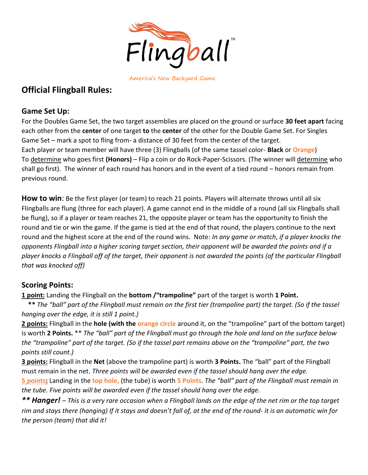

America's New Backyard Game

# Official Flingball Rules:

### Game Set Up:

For the Doubles Game Set, the two target assemblies are placed on the ground or surface 30 feet apart facing each other from the center of one target to the center of the other for the Double Game Set. For Singles Game Set – mark a spot to fling from- a distance of 30 feet from the center of the target. Each player or team member will have three (3) Flingballs (of the same tassel color- Black or Orange) To determine who goes first (Honors) – Flip a coin or do Rock-Paper-Scissors. (The winner will determine who shall go first). The winner of each round has honors and in the event of a tied round – honors remain from previous round.

How to win: Be the first player (or team) to reach 21 points. Players will alternate throws until all six Flingballs are flung (three for each player). A game cannot end in the middle of a round (all six Flingballs shall be flung), so if a player or team reaches 21, the opposite player or team has the opportunity to finish the round and tie or win the game. If the game is tied at the end of that round, the players continue to the next round and the highest score at the end of the round wins. Note: In any game or match, if a player knocks the opponents Flingball into a higher scoring target section, their opponent will be awarded the points and if a player knocks a Flingball off of the target, their opponent is not awarded the points (of the particular Flingball that was knocked off)

## Scoring Points:

1 point: Landing the Flingball on the bottom /"trampoline" part of the target is worth 1 Point.

 \*\* The "ball" part of the Flingball must remain on the first tier (trampoline part) the target. (So if the tassel hanging over the edge, it is still 1 point.)

2 points: Flingball in the hole (with the orange circle around it, on the "trampoline" part of the bottom target) is worth 2 Points. \*\* The "ball" part of the Flingball must go through the hole and land on the surface below the "trampoline" part of the target. (So if the tassel part remains above on the "trampoline" part, the two points still count.)

3 points: Flingball in the Net (above the trampoline part) is worth 3 Points. The "ball" part of the Flingball must remain in the net. Three points will be awarded even if the tassel should hang over the edge.

5 points: Landing in the top hole, (the tube) is worth 5 Points. The "ball" part of the Flingball must remain in the tube. Five points will be awarded even if the tassel should hang over the edge.

\*\* Hanger! – This is a very rare occasion when a Flingball lands on the edge of the net rim or the top target rim and stays there (hanging) If it stays and doesn't fall of, at the end of the round- it is an automatic win for the person (team) that did it!